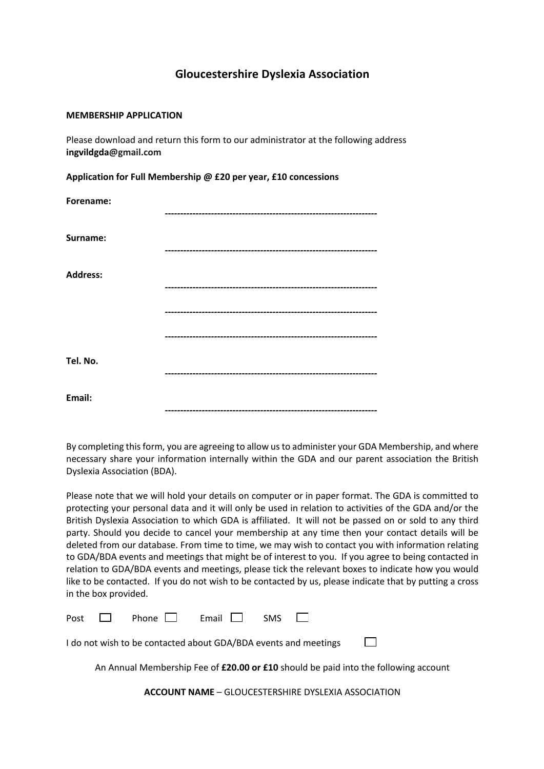## **Gloucestershire Dyslexia Association**

## **MEMBERSHIP APPLICATION**

Please download and return this form to our administrator at the following address **ingvildgda@gmail.com**

**Application for Full Membership @ £20 per year, £10 concessions** 

| Forename:       |  |
|-----------------|--|
|                 |  |
|                 |  |
| Surname:        |  |
|                 |  |
|                 |  |
| <b>Address:</b> |  |
|                 |  |
|                 |  |
|                 |  |
|                 |  |
|                 |  |
| Tel. No.        |  |
|                 |  |
|                 |  |
| Email:          |  |
|                 |  |

By completing this form, you are agreeing to allow us to administer your GDA Membership, and where necessary share your information internally within the GDA and our parent association the British Dyslexia Association (BDA).

Please note that we will hold your details on computer or in paper format. The GDA is committed to protecting your personal data and it will only be used in relation to activities of the GDA and/or the British Dyslexia Association to which GDA is affiliated. It will not be passed on or sold to any third party. Should you decide to cancel your membership at any time then your contact details will be deleted from our database. From time to time, we may wish to contact you with information relating to GDA/BDA events and meetings that might be of interest to you. If you agree to being contacted in relation to GDA/BDA events and meetings, please tick the relevant boxes to indicate how you would like to be contacted. If you do not wish to be contacted by us, please indicate that by putting a cross in the box provided.

|                                                                 |  | Post $\Box$ Phone $\Box$ Email $\Box$ SMS $\Box$ |  |  |  |  |  |  |
|-----------------------------------------------------------------|--|--------------------------------------------------|--|--|--|--|--|--|
| I do not wish to be contacted about GDA/BDA events and meetings |  |                                                  |  |  |  |  |  |  |

An Annual Membership Fee of **£20.00 or £10** should be paid into the following account

**ACCOUNT NAME** – GLOUCESTERSHIRE DYSLEXIA ASSOCIATION